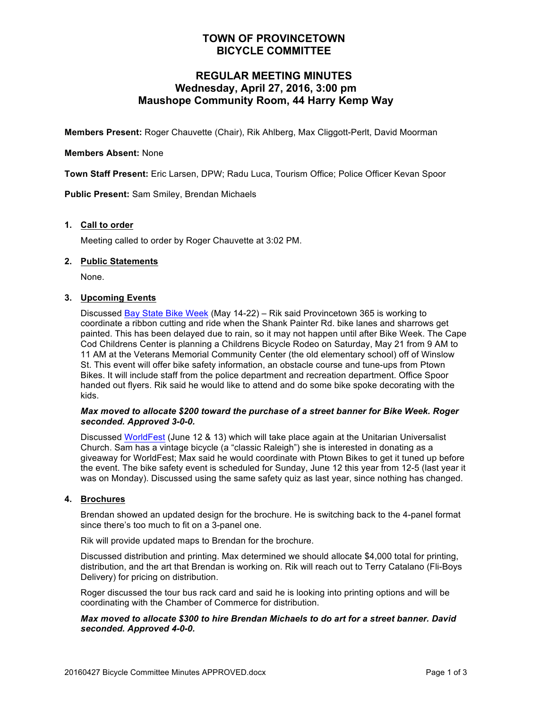## **TOWN OF PROVINCETOWN BICYCLE COMMITTEE**

## **REGULAR MEETING MINUTES Wednesday, April 27, 2016, 3:00 pm Maushope Community Room, 44 Harry Kemp Way**

**Members Present:** Roger Chauvette (Chair), Rik Ahlberg, Max Cliggott-Perlt, David Moorman

#### **Members Absent:** None

**Town Staff Present:** Eric Larsen, DPW; Radu Luca, Tourism Office; Police Officer Kevan Spoor

**Public Present:** Sam Smiley, Brendan Michaels

#### **1. Call to order**

Meeting called to order by Roger Chauvette at 3:02 PM.

#### **2. Public Statements**

None.

#### **3. Upcoming Events**

Discussed Bay State Bike Week (May 14-22) – Rik said Provincetown 365 is working to coordinate a ribbon cutting and ride when the Shank Painter Rd. bike lanes and sharrows get painted. This has been delayed due to rain, so it may not happen until after Bike Week. The Cape Cod Childrens Center is planning a Childrens Bicycle Rodeo on Saturday, May 21 from 9 AM to 11 AM at the Veterans Memorial Community Center (the old elementary school) off of Winslow St. This event will offer bike safety information, an obstacle course and tune-ups from Ptown Bikes. It will include staff from the police department and recreation department. Office Spoor handed out flyers. Rik said he would like to attend and do some bike spoke decorating with the kids.

#### *Max moved to allocate \$200 toward the purchase of a street banner for Bike Week. Roger seconded. Approved 3-0-0.*

Discussed WorldFest (June 12 & 13) which will take place again at the Unitarian Universalist Church. Sam has a vintage bicycle (a "classic Raleigh") she is interested in donating as a giveaway for WorldFest; Max said he would coordinate with Ptown Bikes to get it tuned up before the event. The bike safety event is scheduled for Sunday, June 12 this year from 12-5 (last year it was on Monday). Discussed using the same safety quiz as last year, since nothing has changed.

#### **4. Brochures**

Brendan showed an updated design for the brochure. He is switching back to the 4-panel format since there's too much to fit on a 3-panel one.

Rik will provide updated maps to Brendan for the brochure.

Discussed distribution and printing. Max determined we should allocate \$4,000 total for printing, distribution, and the art that Brendan is working on. Rik will reach out to Terry Catalano (Fli-Boys Delivery) for pricing on distribution.

Roger discussed the tour bus rack card and said he is looking into printing options and will be coordinating with the Chamber of Commerce for distribution.

#### *Max moved to allocate \$300 to hire Brendan Michaels to do art for a street banner. David seconded. Approved 4-0-0.*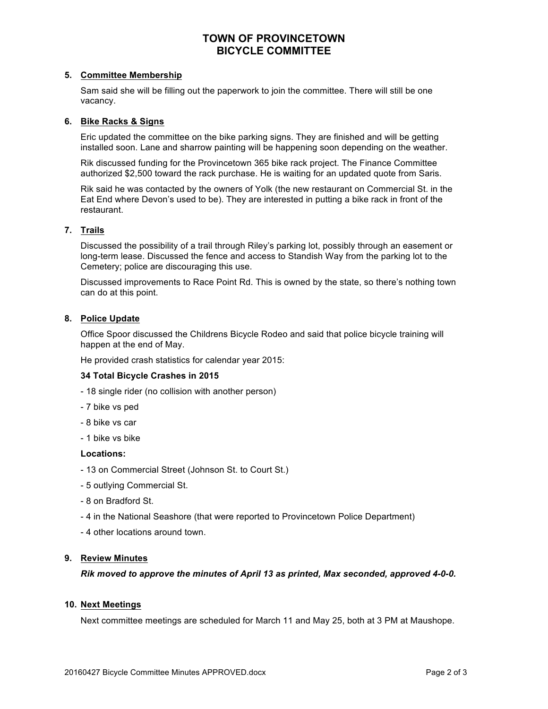## **TOWN OF PROVINCETOWN BICYCLE COMMITTEE**

#### **5. Committee Membership**

Sam said she will be filling out the paperwork to join the committee. There will still be one vacancy.

#### **6. Bike Racks & Signs**

Eric updated the committee on the bike parking signs. They are finished and will be getting installed soon. Lane and sharrow painting will be happening soon depending on the weather.

Rik discussed funding for the Provincetown 365 bike rack project. The Finance Committee authorized \$2,500 toward the rack purchase. He is waiting for an updated quote from Saris.

Rik said he was contacted by the owners of Yolk (the new restaurant on Commercial St. in the Eat End where Devon's used to be). They are interested in putting a bike rack in front of the restaurant.

#### **7. Trails**

Discussed the possibility of a trail through Riley's parking lot, possibly through an easement or long-term lease. Discussed the fence and access to Standish Way from the parking lot to the Cemetery; police are discouraging this use.

Discussed improvements to Race Point Rd. This is owned by the state, so there's nothing town can do at this point.

#### **8. Police Update**

Office Spoor discussed the Childrens Bicycle Rodeo and said that police bicycle training will happen at the end of May.

He provided crash statistics for calendar year 2015:

#### **34 Total Bicycle Crashes in 2015**

- 18 single rider (no collision with another person)
- 7 bike vs ped
- 8 bike vs car
- 1 bike vs bike

#### **Locations:**

- 13 on Commercial Street (Johnson St. to Court St.)
- 5 outlying Commercial St.
- 8 on Bradford St.
- 4 in the National Seashore (that were reported to Provincetown Police Department)
- 4 other locations around town.

#### **9. Review Minutes**

*Rik moved to approve the minutes of April 13 as printed, Max seconded, approved 4-0-0.*

#### **10. Next Meetings**

Next committee meetings are scheduled for March 11 and May 25, both at 3 PM at Maushope.